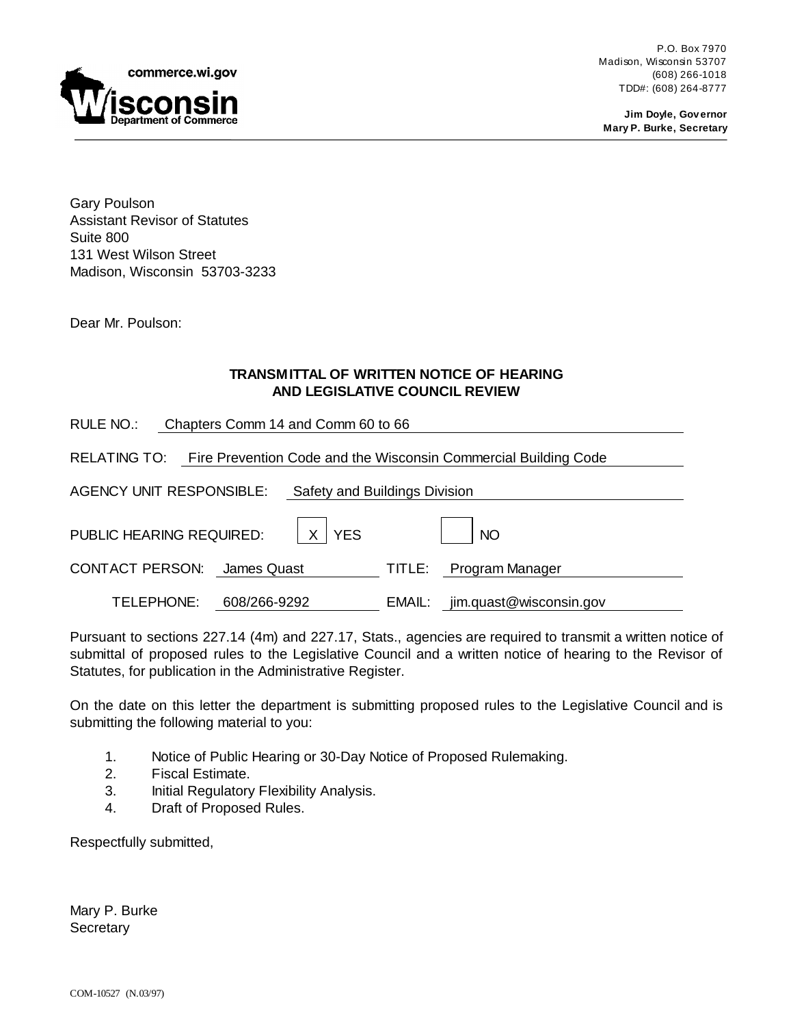

P.O. Box 7970 Madison, Wisconsin 53707 (608) 266-1018 TDD#: (608) 264-8777

**Jim Doyle, Governor Mary P. Burke, Secretary**

Gary Poulson Assistant Revisor of Statutes Suite 800 131 West Wilson Street Madison, Wisconsin 53703-3233

Dear Mr. Poulson:

### **TRANSMITTAL OF WRITTEN NOTICE OF HEARING AND LEGISLATIVE COUNCIL REVIEW**

| RULE NO.:<br>Chapters Comm 14 and Comm 60 to 66                                 |              |        |                         |
|---------------------------------------------------------------------------------|--------------|--------|-------------------------|
| RELATING TO:<br>Fire Prevention Code and the Wisconsin Commercial Building Code |              |        |                         |
| <b>AGENCY UNIT RESPONSIBLE:</b><br>Safety and Buildings Division                |              |        |                         |
| PUBLIC HEARING REQUIRED:                                                        | <b>YES</b>   |        | <b>NO</b>               |
| <b>CONTACT PERSON:</b>                                                          | James Quast  | TITLE: | Program Manager         |
| TELEPHONE:                                                                      | 608/266-9292 | EMAIL: | jim.quast@wisconsin.gov |

Pursuant to sections 227.14 (4m) and 227.17, Stats., agencies are required to transmit a written notice of submittal of proposed rules to the Legislative Council and a written notice of hearing to the Revisor of Statutes, for publication in the Administrative Register.

On the date on this letter the department is submitting proposed rules to the Legislative Council and is submitting the following material to you:

- 1. Notice of Public Hearing or 30-Day Notice of Proposed Rulemaking.
- 2. Fiscal Estimate.
- 3. Initial Regulatory Flexibility Analysis.
- 4. Draft of Proposed Rules.

Respectfully submitted,

Mary P. Burke **Secretary**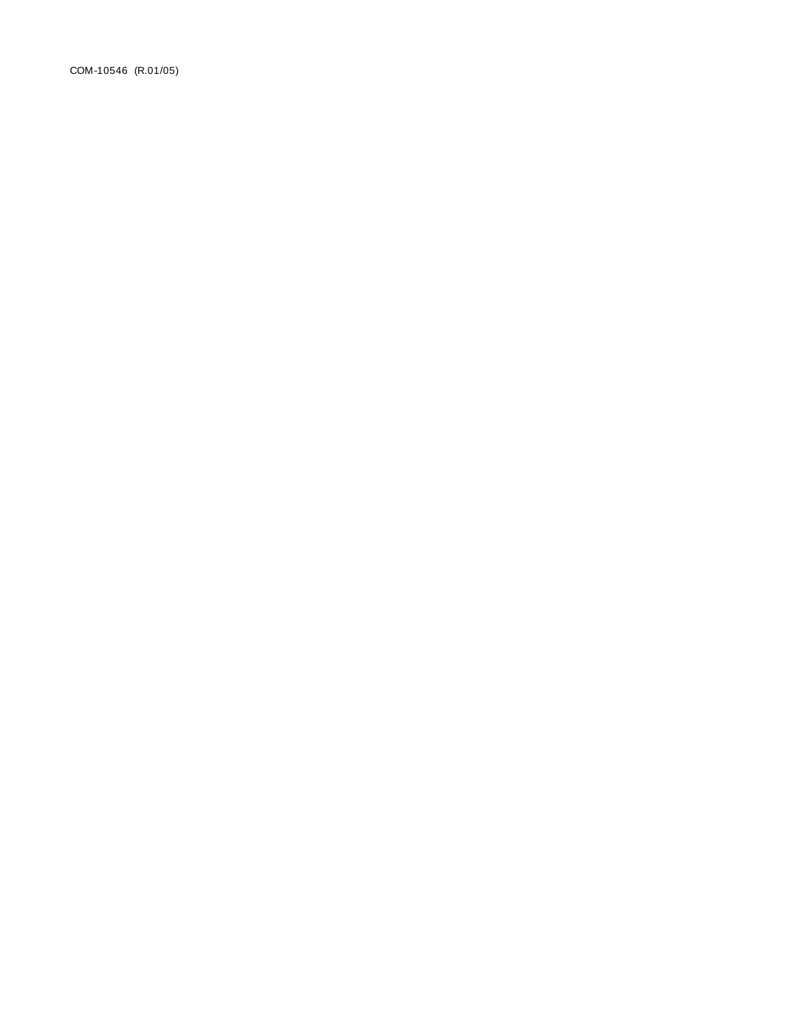COM-10546 (R.01/05)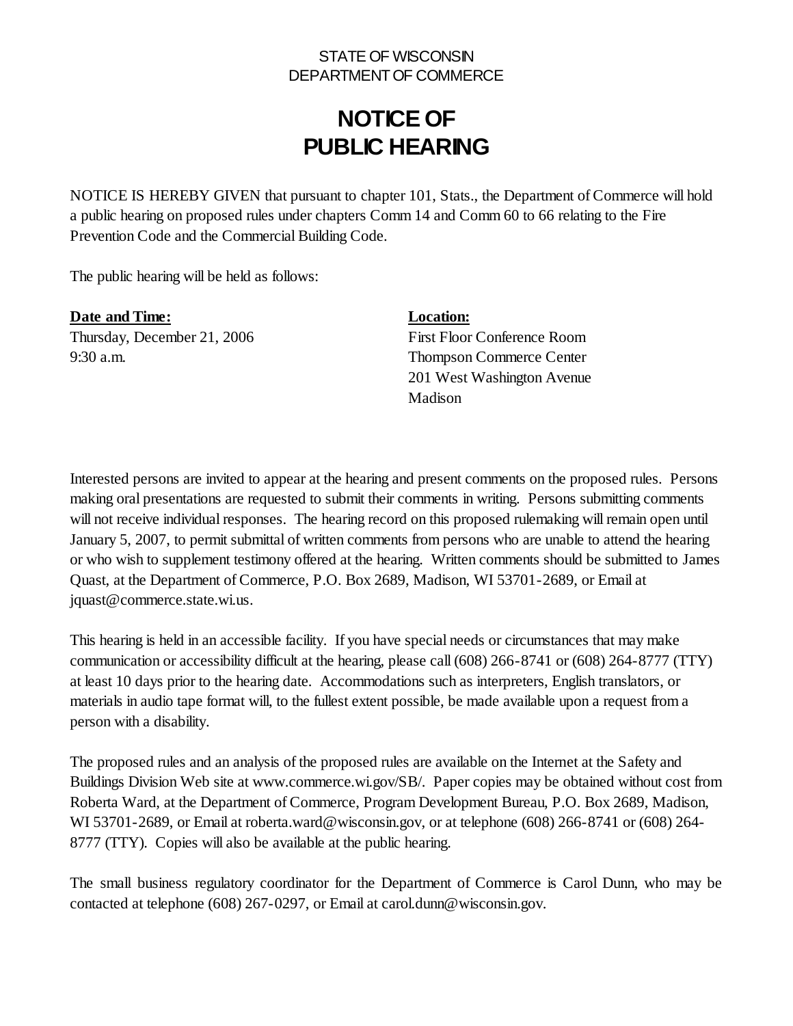### STATE OF WISCONSIN DEPARTMENT OF COMMERCE

# **NOTICE OF PUBLIC HEARING**

NOTICE IS HEREBY GIVEN that pursuant to chapter 101, Stats., the Department of Commerce will hold a public hearing on proposed rules under chapters Comm 14 and Comm 60 to 66 relating to the Fire Prevention Code and the Commercial Building Code.

The public hearing will be held as follows:

**Date and Time: Location:** Thursday, December 21, 2006 First Floor Conference Room 9:30 a.m. Thompson Commerce Center

201 West Washington Avenue Madison

Interested persons are invited to appear at the hearing and present comments on the proposed rules. Persons making oral presentations are requested to submit their comments in writing. Persons submitting comments will not receive individual responses. The hearing record on this proposed rulemaking will remain open until January 5, 2007, to permit submittal of written comments from persons who are unable to attend the hearing or who wish to supplement testimony offered at the hearing. Written comments should be submitted to James Quast, at the Department of Commerce, P.O. Box 2689, Madison, WI 53701-2689, or Email at jquast@commerce.state.wi.us.

This hearing is held in an accessible facility. If you have special needs or circumstances that may make communication or accessibility difficult at the hearing, please call (608) 266-8741 or (608) 264-8777 (TTY) at least 10 days prior to the hearing date. Accommodations such as interpreters, English translators, or materials in audio tape format will, to the fullest extent possible, be made available upon a request from a person with a disability.

The proposed rules and an analysis of the proposed rules are available on the Internet at the Safety and Buildings Division Web site at www.commerce.wi.gov/SB/. Paper copies may be obtained without cost from Roberta Ward, at the Department of Commerce, Program Development Bureau, P.O. Box 2689, Madison, WI 53701-2689, or Email at roberta.ward@wisconsin.gov, or at telephone (608) 266-8741 or (608) 264- 8777 (TTY). Copies will also be available at the public hearing.

The small business regulatory coordinator for the Department of Commerce is Carol Dunn, who may be contacted at telephone (608) 267-0297, or Email at carol.dunn@wisconsin.gov.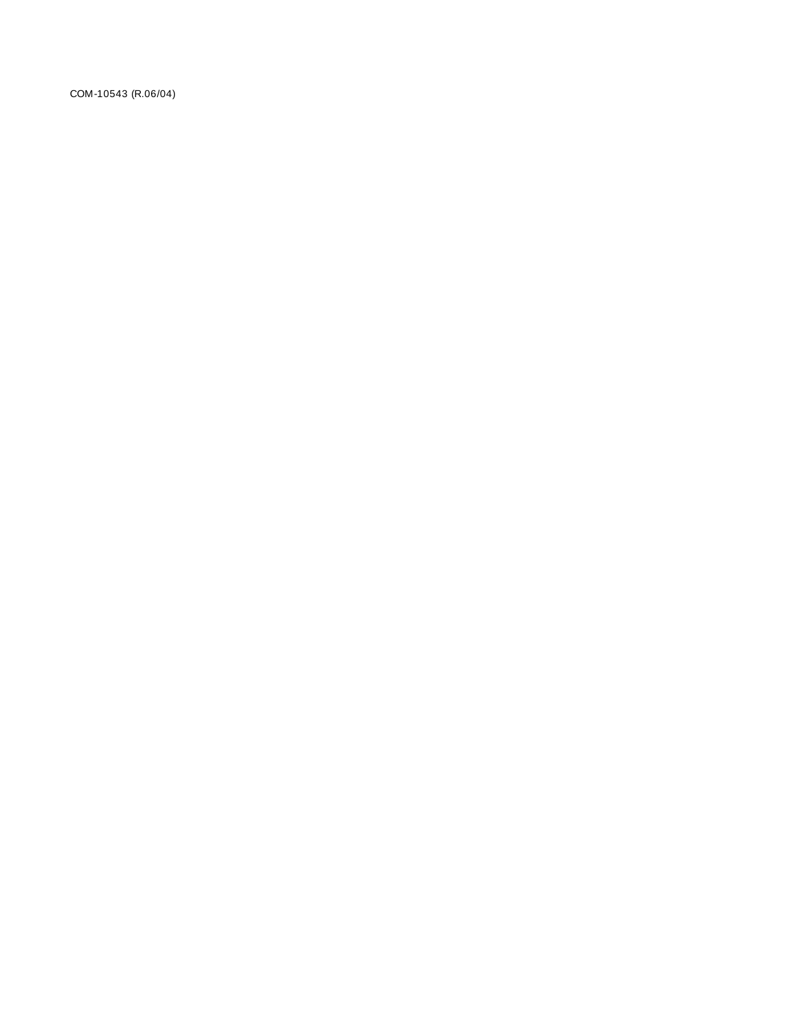COM-10543 (R.06/04)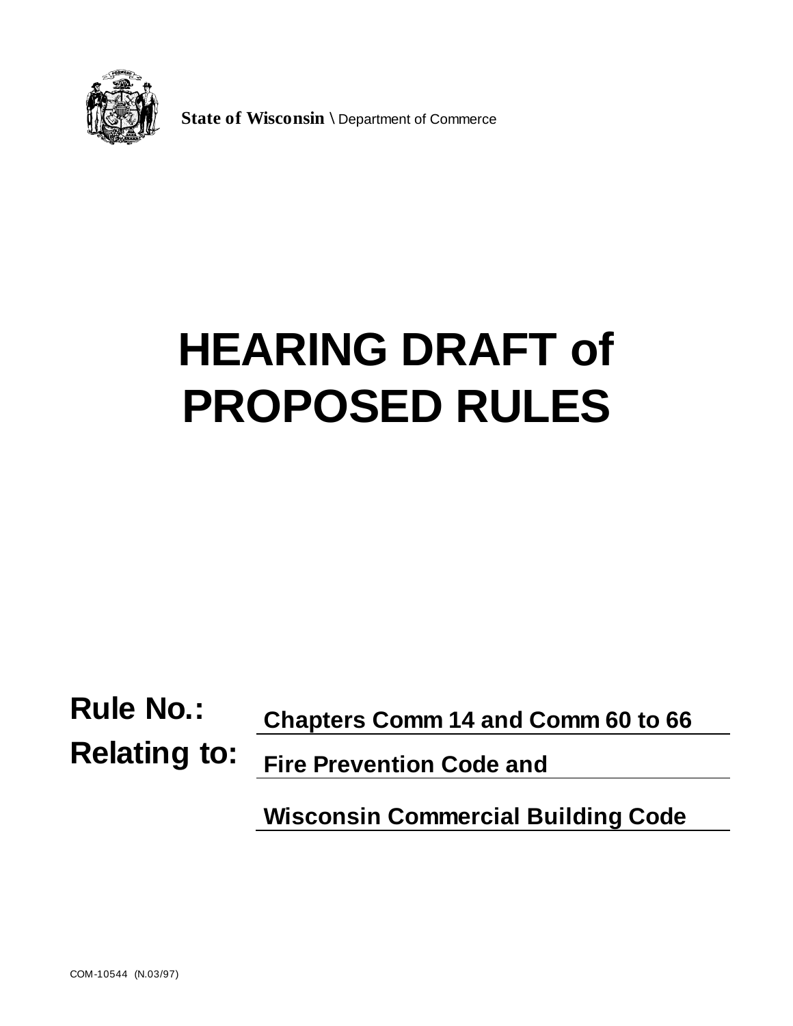

**State of Wisconsin \** Department of Commerce

# **HEARING DRAFT of PROPOSED RULES**

**Rule No.: Chapters Comm 14 and Comm 60 to 66**

**Relating to: Fire Prevention Code and**

**Wisconsin Commercial Building Code**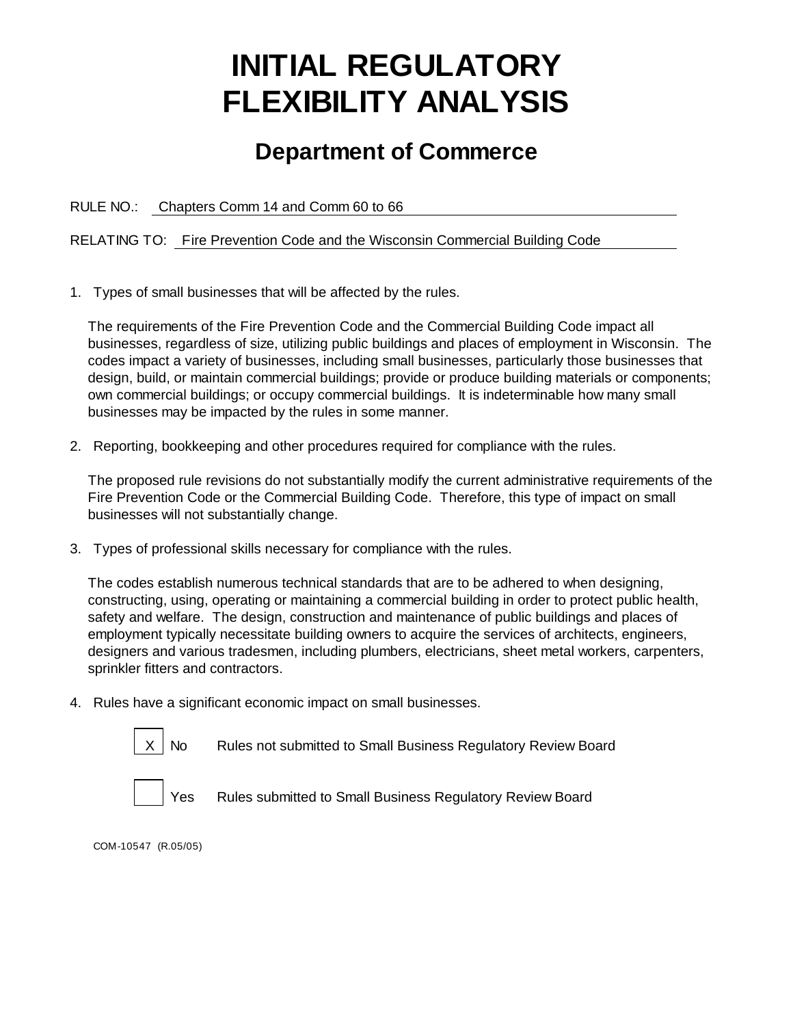# **INITIAL REGULATORY FLEXIBILITY ANALYSIS**

# **Department of Commerce**

RULE NO.: Chapters Comm 14 and Comm 60 to 66

RELATING TO: Fire Prevention Code and the Wisconsin Commercial Building Code

1. Types of small businesses that will be affected by the rules.

The requirements of the Fire Prevention Code and the Commercial Building Code impact all businesses, regardless of size, utilizing public buildings and places of employment in Wisconsin. The codes impact a variety of businesses, including small businesses, particularly those businesses that design, build, or maintain commercial buildings; provide or produce building materials or components; own commercial buildings; or occupy commercial buildings. It is indeterminable how many small businesses may be impacted by the rules in some manner.

2. Reporting, bookkeeping and other procedures required for compliance with the rules.

The proposed rule revisions do not substantially modify the current administrative requirements of the Fire Prevention Code or the Commercial Building Code. Therefore, this type of impact on small businesses will not substantially change.

3. Types of professional skills necessary for compliance with the rules.

The codes establish numerous technical standards that are to be adhered to when designing, constructing, using, operating or maintaining a commercial building in order to protect public health, safety and welfare. The design, construction and maintenance of public buildings and places of employment typically necessitate building owners to acquire the services of architects, engineers, designers and various tradesmen, including plumbers, electricians, sheet metal workers, carpenters, sprinkler fitters and contractors.

4. Rules have a significant economic impact on small businesses.



No Rules not submitted to Small Business Regulatory Review Board



Yes Rules submitted to Small Business Regulatory Review Board

COM-10547 (R.05/05)